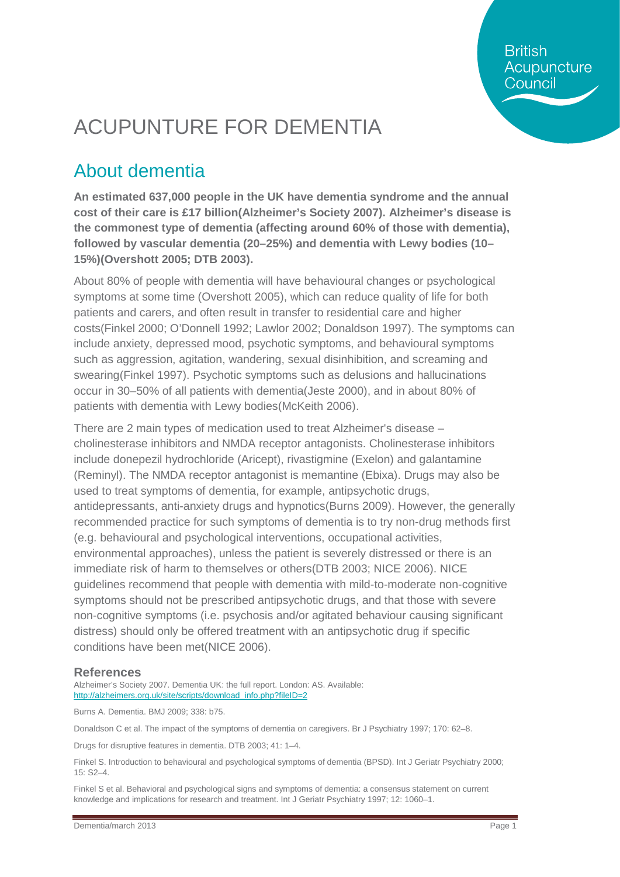**British** Acupuncture Council

# ACUPUNTURE FOR DEMENTIA

## About dementia

**An estimated 637,000 people in the UK have dementia syndrome and the annual cost of their care is £17 billion(Alzheimer's Society 2007). Alzheimer's disease is the commonest type of dementia (affecting around 60% of those with dementia), followed by vascular dementia (20–25%) and dementia with Lewy bodies (10– 15%)(Overshott 2005; DTB 2003).**

About 80% of people with dementia will have behavioural changes or psychological symptoms at some time (Overshott 2005), which can reduce quality of life for both patients and carers, and often result in transfer to residential care and higher costs(Finkel 2000; O'Donnell 1992; Lawlor 2002; Donaldson 1997). The symptoms can include anxiety, depressed mood, psychotic symptoms, and behavioural symptoms such as aggression, agitation, wandering, sexual disinhibition, and screaming and swearing(Finkel 1997). Psychotic symptoms such as delusions and hallucinations occur in 30–50% of all patients with dementia(Jeste 2000), and in about 80% of patients with dementia with Lewy bodies(McKeith 2006).

There are 2 main types of medication used to treat Alzheimer's disease – cholinesterase inhibitors and NMDA receptor antagonists. Cholinesterase inhibitors include donepezil hydrochloride (Aricept), rivastigmine (Exelon) and galantamine (Reminyl). The NMDA receptor antagonist is memantine (Ebixa). Drugs may also be used to treat symptoms of dementia, for example, antipsychotic drugs, antidepressants, anti-anxiety drugs and hypnotics(Burns 2009). However, the generally recommended practice for such symptoms of dementia is to try non-drug methods first (e.g. behavioural and psychological interventions, occupational activities, environmental approaches), unless the patient is severely distressed or there is an immediate risk of harm to themselves or others(DTB 2003; NICE 2006). NICE guidelines recommend that people with dementia with mild-to-moderate non-cognitive symptoms should not be prescribed antipsychotic drugs, and that those with severe non-cognitive symptoms (i.e. psychosis and/or agitated behaviour causing significant distress) should only be offered treatment with an antipsychotic drug if specific conditions have been met(NICE 2006).

#### **References**

Alzheimer's Society 2007. Dementia UK: the full report. London: AS. Available: [http://alzheimers.org.uk/site/scripts/download\\_info.php?fileID=2](http://alzheimers.org.uk/site/scripts/download_info.php?fileID=2)

Burns A. Dementia. BMJ 2009; 338: b75.

Donaldson C et al. The impact of the symptoms of dementia on caregivers. Br J Psychiatry 1997; 170: 62–8.

Drugs for disruptive features in dementia. DTB 2003; 41: 1–4.

Finkel S. Introduction to behavioural and psychological symptoms of dementia (BPSD). Int J Geriatr Psychiatry 2000; 15: S2–4.

Finkel S et al. Behavioral and psychological signs and symptoms of dementia: a consensus statement on current knowledge and implications for research and treatment. Int J Geriatr Psychiatry 1997; 12: 1060–1.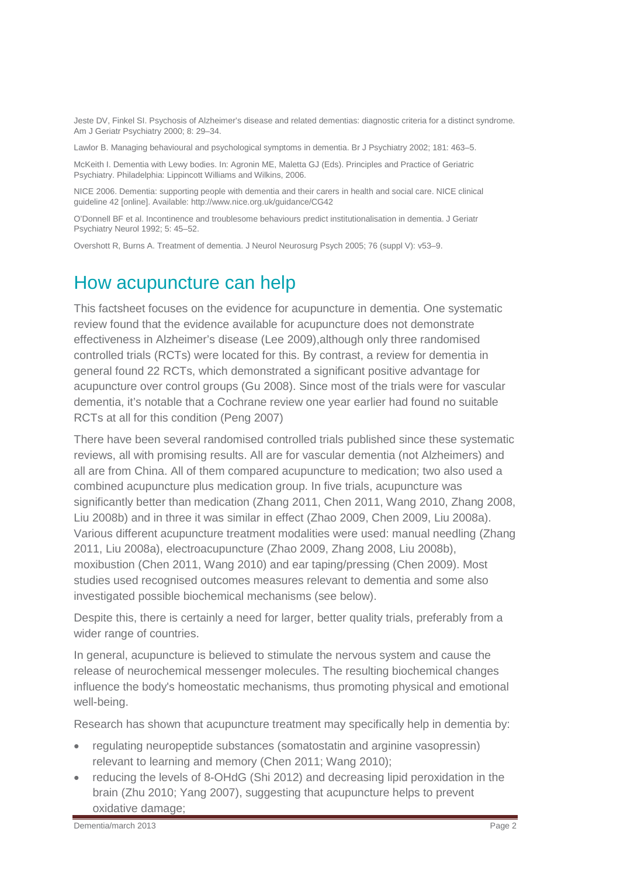Jeste DV, Finkel SI. Psychosis of Alzheimer's disease and related dementias: diagnostic criteria for a distinct syndrome. Am J Geriatr Psychiatry 2000; 8: 29–34.

Lawlor B. Managing behavioural and psychological symptoms in dementia. Br J Psychiatry 2002; 181: 463–5.

McKeith I. Dementia with Lewy bodies. In: Agronin ME, Maletta GJ (Eds). Principles and Practice of Geriatric Psychiatry. Philadelphia: Lippincott Williams and Wilkins, 2006.

NICE 2006. Dementia: supporting people with dementia and their carers in health and social care. NICE clinical guideline 42 [online]. Available[: http://www.nice.org.uk/guidance/CG42](http://www.nice.org.uk/guidance/CG42)

O'Donnell BF et al. Incontinence and troublesome behaviours predict institutionalisation in dementia. J Geriatr Psychiatry Neurol 1992; 5: 45–52.

Overshott R, Burns A. Treatment of dementia. J Neurol Neurosurg Psych 2005; 76 (suppl V): v53–9.

#### How acupuncture can help

This factsheet focuses on the evidence for acupuncture in dementia. One systematic review found that the evidence available for acupuncture does not demonstrate effectiveness in Alzheimer's disease (Lee 2009),although only three randomised controlled trials (RCTs) were located for this. By contrast, a review for dementia in general found 22 RCTs, which demonstrated a significant positive advantage for acupuncture over control groups (Gu 2008). Since most of the trials were for vascular dementia, it's notable that a Cochrane review one year earlier had found no suitable RCTs at all for this condition (Peng 2007)

There have been several randomised controlled trials published since these systematic reviews, all with promising results. All are for vascular dementia (not Alzheimers) and all are from China. All of them compared acupuncture to medication; two also used a combined acupuncture plus medication group. In five trials, acupuncture was significantly better than medication (Zhang 2011, Chen 2011, Wang 2010, Zhang 2008, Liu 2008b) and in three it was similar in effect (Zhao 2009, Chen 2009, Liu 2008a). Various different acupuncture treatment modalities were used: manual needling (Zhang 2011, Liu 2008a), electroacupuncture (Zhao 2009, Zhang 2008, Liu 2008b), moxibustion (Chen 2011, Wang 2010) and ear taping/pressing (Chen 2009). Most studies used recognised outcomes measures relevant to dementia and some also investigated possible biochemical mechanisms (see below).

Despite this, there is certainly a need for larger, better quality trials, preferably from a wider range of countries.

In general, acupuncture is believed to stimulate the nervous system and cause the release of neurochemical messenger molecules. The resulting biochemical changes influence the body's homeostatic mechanisms, thus promoting physical and emotional well-being.

Research has shown that acupuncture treatment may specifically help in dementia by:

- regulating neuropeptide substances (somatostatin and arginine vasopressin) relevant to learning and memory (Chen 2011; Wang 2010);
- reducing the levels of 8-OHdG (Shi 2012) and decreasing lipid peroxidation in the brain (Zhu 2010; Yang 2007), suggesting that acupuncture helps to prevent oxidative damage;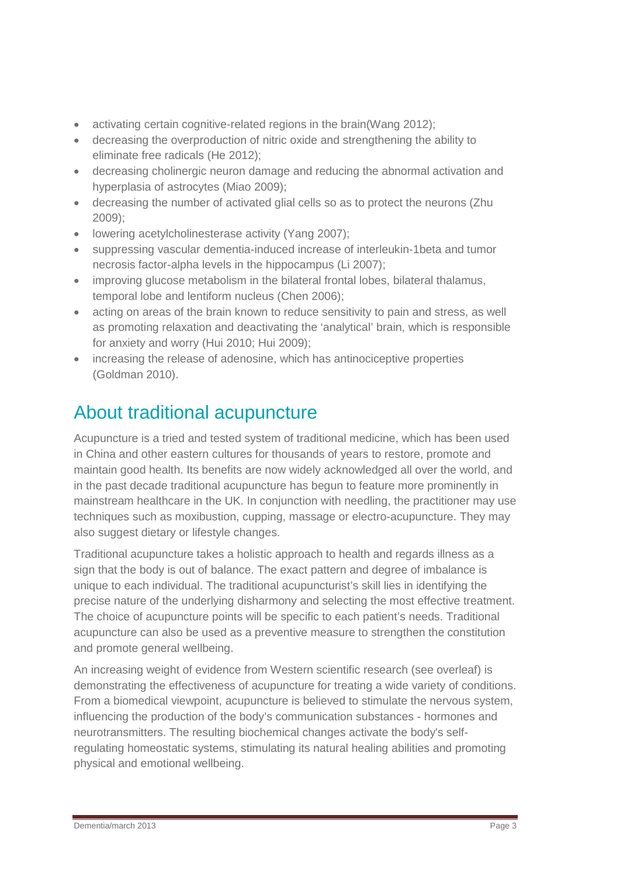- activating certain cognitive-related regions in the brain(Wang 2012);
- decreasing the overproduction of nitric oxide and strengthening the ability to eliminate free radicals (He 2012);
- decreasing cholinergic neuron damage and reducing the abnormal activation and hyperplasia of astrocytes (Miao 2009);
- decreasing the number of activated glial cells so as to protect the neurons (Zhu 2009);
- lowering acetylcholinesterase activity (Yang 2007):
- suppressing vascular dementia-induced increase of interleukin-1beta and tumor necrosis factor-alpha levels in the hippocampus (Li 2007);
- improving glucose metabolism in the bilateral frontal lobes, bilateral thalamus, temporal lobe and lentiform nucleus (Chen 2006);
- acting on areas of the brain known to reduce sensitivity to pain and stress, as well as promoting relaxation and deactivating the 'analytical' brain, which is responsible for anxiety and worry (Hui 2010; Hui 2009);
- increasing the release of adenosine, which has antinociceptive properties (Goldman 2010).

## About traditional acupuncture

Acupuncture is a tried and tested system of traditional medicine, which has been used in China and other eastern cultures for thousands of years to restore, promote and maintain good health. Its benefits are now widely acknowledged all over the world, and in the past decade traditional acupuncture has begun to feature more prominently in mainstream healthcare in the UK. In conjunction with needling, the practitioner may use techniques such as moxibustion, cupping, massage or electro-acupuncture. They may also suggest dietary or lifestyle changes.

Traditional acupuncture takes a holistic approach to health and regards illness as a sign that the body is out of balance. The exact pattern and degree of imbalance is unique to each individual. The traditional acupuncturist's skill lies in identifying the precise nature of the underlying disharmony and selecting the most effective treatment. The choice of acupuncture points will be specific to each patient's needs. Traditional acupuncture can also be used as a preventive measure to strengthen the constitution and promote general wellbeing.

An increasing weight of evidence from Western scientific research (see overleaf) is demonstrating the effectiveness of acupuncture for treating a wide variety of conditions. From a biomedical viewpoint, acupuncture is believed to stimulate the nervous system, influencing the production of the body's communication substances - hormones and neurotransmitters. The resulting biochemical changes activate the body's selfregulating homeostatic systems, stimulating its natural healing abilities and promoting physical and emotional wellbeing.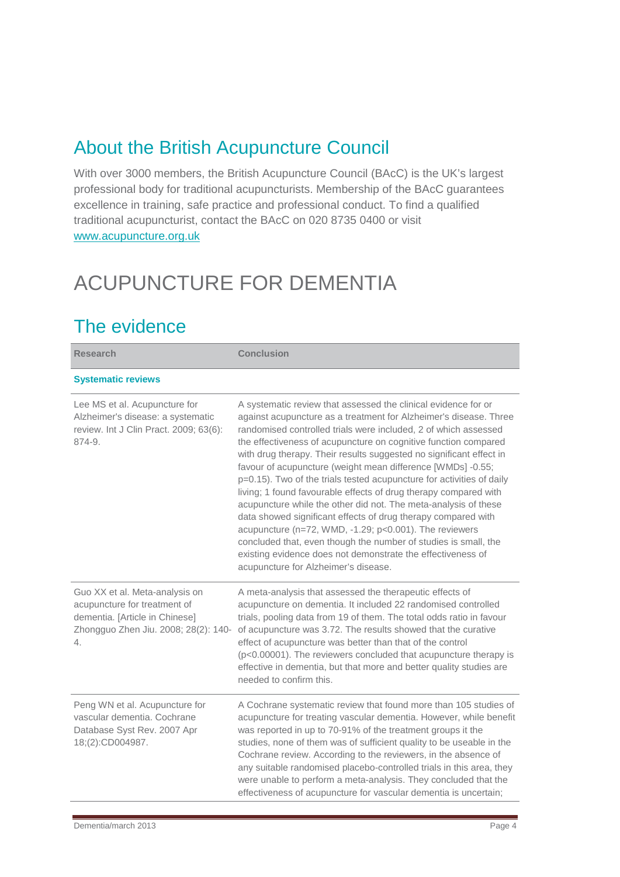### About the British Acupuncture Council

With over 3000 members, the British Acupuncture Council (BAcC) is the UK's largest professional body for traditional acupuncturists. Membership of the BAcC guarantees excellence in training, safe practice and professional conduct. To find a qualified traditional acupuncturist, contact the BAcC on 020 8735 0400 or visit [www.acupuncture.org.uk](http://www.acupuncture.org.uk/)

## ACUPUNCTURE FOR DEMENTIA

### The evidence

| <b>Research</b>                                                                                                                                | <b>Conclusion</b>                                                                                                                                                                                                                                                                                                                                                                                                                                                                                                                                                                                                                                                                                                                                                                                                                                                                                                                    |
|------------------------------------------------------------------------------------------------------------------------------------------------|--------------------------------------------------------------------------------------------------------------------------------------------------------------------------------------------------------------------------------------------------------------------------------------------------------------------------------------------------------------------------------------------------------------------------------------------------------------------------------------------------------------------------------------------------------------------------------------------------------------------------------------------------------------------------------------------------------------------------------------------------------------------------------------------------------------------------------------------------------------------------------------------------------------------------------------|
| <b>Systematic reviews</b>                                                                                                                      |                                                                                                                                                                                                                                                                                                                                                                                                                                                                                                                                                                                                                                                                                                                                                                                                                                                                                                                                      |
| Lee MS et al. Acupuncture for<br>Alzheimer's disease: a systematic<br>review. Int J Clin Pract. 2009; 63(6):<br>874-9.                         | A systematic review that assessed the clinical evidence for or<br>against acupuncture as a treatment for Alzheimer's disease. Three<br>randomised controlled trials were included. 2 of which assessed<br>the effectiveness of acupuncture on cognitive function compared<br>with drug therapy. Their results suggested no significant effect in<br>favour of acupuncture (weight mean difference [WMDs] -0.55;<br>p=0.15). Two of the trials tested acupuncture for activities of daily<br>living; 1 found favourable effects of drug therapy compared with<br>acupuncture while the other did not. The meta-analysis of these<br>data showed significant effects of drug therapy compared with<br>acupuncture (n=72, WMD, -1.29; p<0.001). The reviewers<br>concluded that, even though the number of studies is small, the<br>existing evidence does not demonstrate the effectiveness of<br>acupuncture for Alzheimer's disease. |
| Guo XX et al. Meta-analysis on<br>acupuncture for treatment of<br>dementia. [Article in Chinese]<br>Zhongguo Zhen Jiu. 2008; 28(2): 140-<br>4. | A meta-analysis that assessed the therapeutic effects of<br>acupuncture on dementia. It included 22 randomised controlled<br>trials, pooling data from 19 of them. The total odds ratio in favour<br>of acupuncture was 3.72. The results showed that the curative<br>effect of acupuncture was better than that of the control<br>(p<0.00001). The reviewers concluded that acupuncture therapy is<br>effective in dementia, but that more and better quality studies are<br>needed to confirm this.                                                                                                                                                                                                                                                                                                                                                                                                                                |
| Peng WN et al. Acupuncture for<br>vascular dementia. Cochrane<br>Database Syst Rev. 2007 Apr<br>18;(2):CD004987.                               | A Cochrane systematic review that found more than 105 studies of<br>acupuncture for treating vascular dementia. However, while benefit<br>was reported in up to 70-91% of the treatment groups it the<br>studies, none of them was of sufficient quality to be useable in the<br>Cochrane review. According to the reviewers, in the absence of<br>any suitable randomised placebo-controlled trials in this area, they<br>were unable to perform a meta-analysis. They concluded that the<br>effectiveness of acupuncture for vascular dementia is uncertain;                                                                                                                                                                                                                                                                                                                                                                       |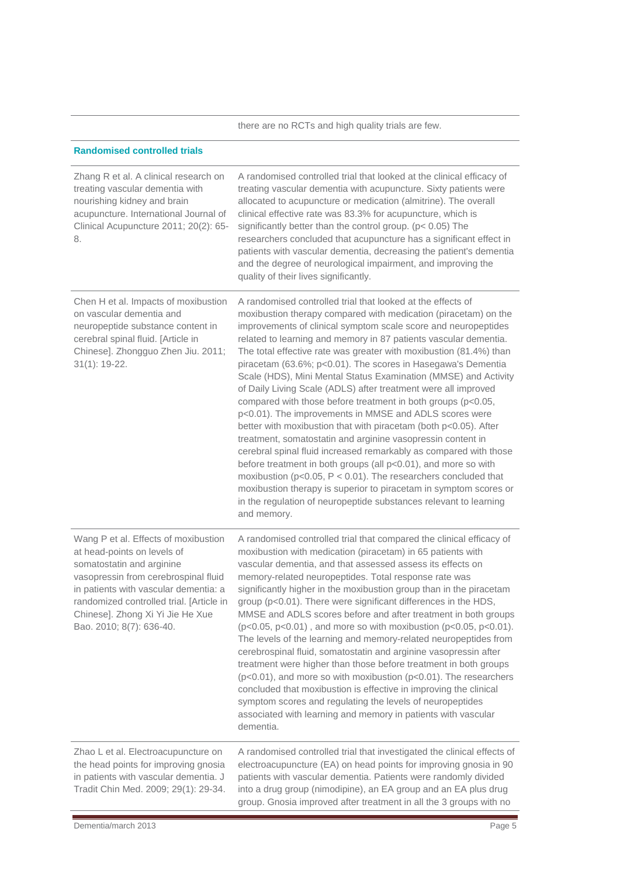|                                                                                                                                                                                                                                                                                               | there are no RCTs and high quality trials are few.                                                                                                                                                                                                                                                                                                                                                                                                                                                                                                                                                                                                                                                                                                                                                                                                                                                                                                                                                                                                                                                                                                                                    |
|-----------------------------------------------------------------------------------------------------------------------------------------------------------------------------------------------------------------------------------------------------------------------------------------------|---------------------------------------------------------------------------------------------------------------------------------------------------------------------------------------------------------------------------------------------------------------------------------------------------------------------------------------------------------------------------------------------------------------------------------------------------------------------------------------------------------------------------------------------------------------------------------------------------------------------------------------------------------------------------------------------------------------------------------------------------------------------------------------------------------------------------------------------------------------------------------------------------------------------------------------------------------------------------------------------------------------------------------------------------------------------------------------------------------------------------------------------------------------------------------------|
| <b>Randomised controlled trials</b>                                                                                                                                                                                                                                                           |                                                                                                                                                                                                                                                                                                                                                                                                                                                                                                                                                                                                                                                                                                                                                                                                                                                                                                                                                                                                                                                                                                                                                                                       |
| Zhang R et al. A clinical research on<br>treating vascular dementia with<br>nourishing kidney and brain<br>acupuncture. International Journal of<br>Clinical Acupuncture 2011; 20(2): 65-<br>8.                                                                                               | A randomised controlled trial that looked at the clinical efficacy of<br>treating vascular dementia with acupuncture. Sixty patients were<br>allocated to acupuncture or medication (almitrine). The overall<br>clinical effective rate was 83.3% for acupuncture, which is<br>significantly better than the control group. ( $p < 0.05$ ) The<br>researchers concluded that acupuncture has a significant effect in<br>patients with vascular dementia, decreasing the patient's dementia<br>and the degree of neurological impairment, and improving the<br>quality of their lives significantly.                                                                                                                                                                                                                                                                                                                                                                                                                                                                                                                                                                                   |
| Chen H et al. Impacts of moxibustion<br>on vascular dementia and<br>neuropeptide substance content in<br>cerebral spinal fluid. [Article in<br>Chinese]. Zhongguo Zhen Jiu. 2011;<br>$31(1): 19-22.$                                                                                          | A randomised controlled trial that looked at the effects of<br>moxibustion therapy compared with medication (piracetam) on the<br>improvements of clinical symptom scale score and neuropeptides<br>related to learning and memory in 87 patients vascular dementia.<br>The total effective rate was greater with moxibustion (81.4%) than<br>piracetam (63.6%; p<0.01). The scores in Hasegawa's Dementia<br>Scale (HDS), Mini Mental Status Examination (MMSE) and Activity<br>of Daily Living Scale (ADLS) after treatment were all improved<br>compared with those before treatment in both groups (p<0.05,<br>p<0.01). The improvements in MMSE and ADLS scores were<br>better with moxibustion that with piracetam (both p<0.05). After<br>treatment, somatostatin and arginine vasopressin content in<br>cerebral spinal fluid increased remarkably as compared with those<br>before treatment in both groups (all p<0.01), and more so with<br>moxibustion ( $p<0.05$ , $P < 0.01$ ). The researchers concluded that<br>moxibustion therapy is superior to piracetam in symptom scores or<br>in the regulation of neuropeptide substances relevant to learning<br>and memory. |
| Wang P et al. Effects of moxibustion<br>at head-points on levels of<br>somatostatin and arginine<br>vasopressin from cerebrospinal fluid<br>in patients with vascular dementia: a<br>randomized controlled trial. [Article in<br>Chinese]. Zhong Xi Yi Jie He Xue<br>Bao. 2010; 8(7): 636-40. | A randomised controlled trial that compared the clinical efficacy of<br>moxibustion with medication (piracetam) in 65 patients with<br>vascular dementia, and that assessed assess its effects on<br>memory-related neuropeptides. Total response rate was<br>significantly higher in the moxibustion group than in the piracetam<br>group (p<0.01). There were significant differences in the HDS,<br>MMSE and ADLS scores before and after treatment in both groups<br>(p<0.05, p<0.01), and more so with moxibustion (p<0.05, p<0.01).<br>The levels of the learning and memory-related neuropeptides from<br>cerebrospinal fluid, somatostatin and arginine vasopressin after<br>treatment were higher than those before treatment in both groups<br>$(p<0.01)$ , and more so with moxibustion $(p<0.01)$ . The researchers<br>concluded that moxibustion is effective in improving the clinical<br>symptom scores and regulating the levels of neuropeptides<br>associated with learning and memory in patients with vascular<br>dementia.                                                                                                                                       |
| Zhao L et al. Electroacupuncture on<br>the head points for improving gnosia<br>in patients with vascular dementia. J<br>Tradit Chin Med. 2009; 29(1): 29-34.                                                                                                                                  | A randomised controlled trial that investigated the clinical effects of<br>electroacupuncture (EA) on head points for improving gnosia in 90<br>patients with vascular dementia. Patients were randomly divided<br>into a drug group (nimodipine), an EA group and an EA plus drug<br>group. Gnosia improved after treatment in all the 3 groups with no                                                                                                                                                                                                                                                                                                                                                                                                                                                                                                                                                                                                                                                                                                                                                                                                                              |

i.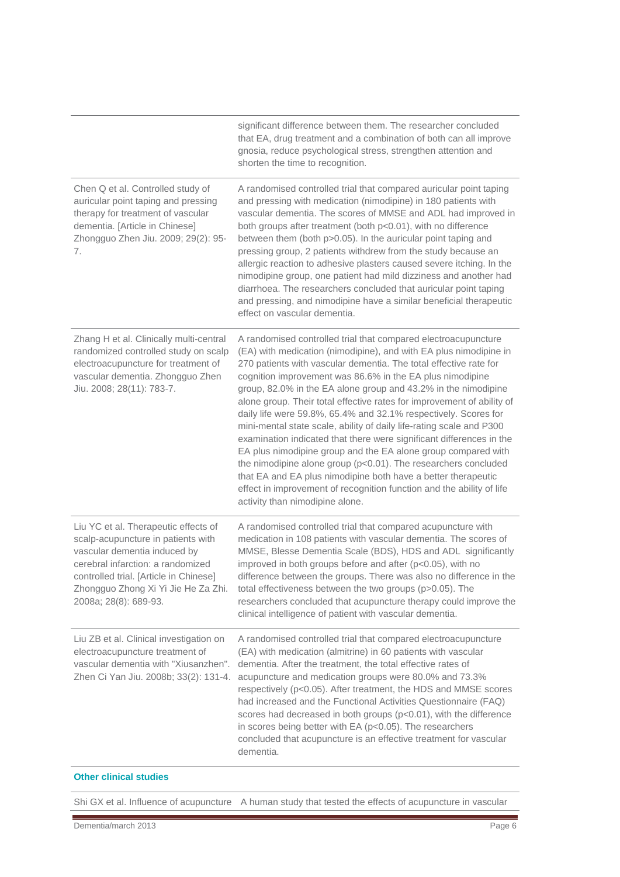|                                                                                                                                                                                                                                                           | significant difference between them. The researcher concluded<br>that EA, drug treatment and a combination of both can all improve<br>gnosia, reduce psychological stress, strengthen attention and<br>shorten the time to recognition.                                                                                                                                                                                                                                                                                                                                                                                                                                                                                                                                                                                                                                                                                                              |
|-----------------------------------------------------------------------------------------------------------------------------------------------------------------------------------------------------------------------------------------------------------|------------------------------------------------------------------------------------------------------------------------------------------------------------------------------------------------------------------------------------------------------------------------------------------------------------------------------------------------------------------------------------------------------------------------------------------------------------------------------------------------------------------------------------------------------------------------------------------------------------------------------------------------------------------------------------------------------------------------------------------------------------------------------------------------------------------------------------------------------------------------------------------------------------------------------------------------------|
| Chen Q et al. Controlled study of<br>auricular point taping and pressing<br>therapy for treatment of vascular<br>dementia. [Article in Chinese]<br>Zhongguo Zhen Jiu. 2009; 29(2): 95-<br>7.                                                              | A randomised controlled trial that compared auricular point taping<br>and pressing with medication (nimodipine) in 180 patients with<br>vascular dementia. The scores of MMSE and ADL had improved in<br>both groups after treatment (both p<0.01), with no difference<br>between them (both p>0.05). In the auricular point taping and<br>pressing group, 2 patients withdrew from the study because an<br>allergic reaction to adhesive plasters caused severe itching. In the<br>nimodipine group, one patient had mild dizziness and another had<br>diarrhoea. The researchers concluded that auricular point taping<br>and pressing, and nimodipine have a similar beneficial therapeutic<br>effect on vascular dementia.                                                                                                                                                                                                                       |
| Zhang H et al. Clinically multi-central<br>randomized controlled study on scalp<br>electroacupuncture for treatment of<br>vascular dementia. Zhongguo Zhen<br>Jiu. 2008; 28(11): 783-7.                                                                   | A randomised controlled trial that compared electroacupuncture<br>(EA) with medication (nimodipine), and with EA plus nimodipine in<br>270 patients with vascular dementia. The total effective rate for<br>cognition improvement was 86.6% in the EA plus nimodipine<br>group, 82.0% in the EA alone group and 43.2% in the nimodipine<br>alone group. Their total effective rates for improvement of ability of<br>daily life were 59.8%, 65.4% and 32.1% respectively. Scores for<br>mini-mental state scale, ability of daily life-rating scale and P300<br>examination indicated that there were significant differences in the<br>EA plus nimodipine group and the EA alone group compared with<br>the nimodipine alone group (p<0.01). The researchers concluded<br>that EA and EA plus nimodipine both have a better therapeutic<br>effect in improvement of recognition function and the ability of life<br>activity than nimodipine alone. |
| Liu YC et al. Therapeutic effects of<br>scalp-acupuncture in patients with<br>vascular dementia induced by<br>cerebral infarction: a randomized<br>controlled trial. [Article in Chinese]<br>Zhongguo Zhong Xi Yi Jie He Za Zhi.<br>2008a; 28(8): 689-93. | A randomised controlled trial that compared acupuncture with<br>medication in 108 patients with vascular dementia. The scores of<br>MMSE, Blesse Dementia Scale (BDS), HDS and ADL significantly<br>improved in both groups before and after (p<0.05), with no<br>difference between the groups. There was also no difference in the<br>total effectiveness between the two groups (p>0.05). The<br>researchers concluded that acupuncture therapy could improve the<br>clinical intelligence of patient with vascular dementia.                                                                                                                                                                                                                                                                                                                                                                                                                     |
| Liu ZB et al. Clinical investigation on<br>electroacupuncture treatment of<br>vascular dementia with "Xiusanzhen".<br>Zhen Ci Yan Jiu. 2008b; 33(2): 131-4.                                                                                               | A randomised controlled trial that compared electroacupuncture<br>(EA) with medication (almitrine) in 60 patients with vascular<br>dementia. After the treatment, the total effective rates of<br>acupuncture and medication groups were 80.0% and 73.3%<br>respectively (p<0.05). After treatment, the HDS and MMSE scores<br>had increased and the Functional Activities Questionnaire (FAQ)<br>scores had decreased in both groups (p<0.01), with the difference<br>in scores being better with EA (p<0.05). The researchers<br>concluded that acupuncture is an effective treatment for vascular<br>dementia.                                                                                                                                                                                                                                                                                                                                    |

#### **Other clinical studies**

Shi GX et al. Influence of acupuncture A human study that tested the effects of acupuncture in vascular

Ē,

t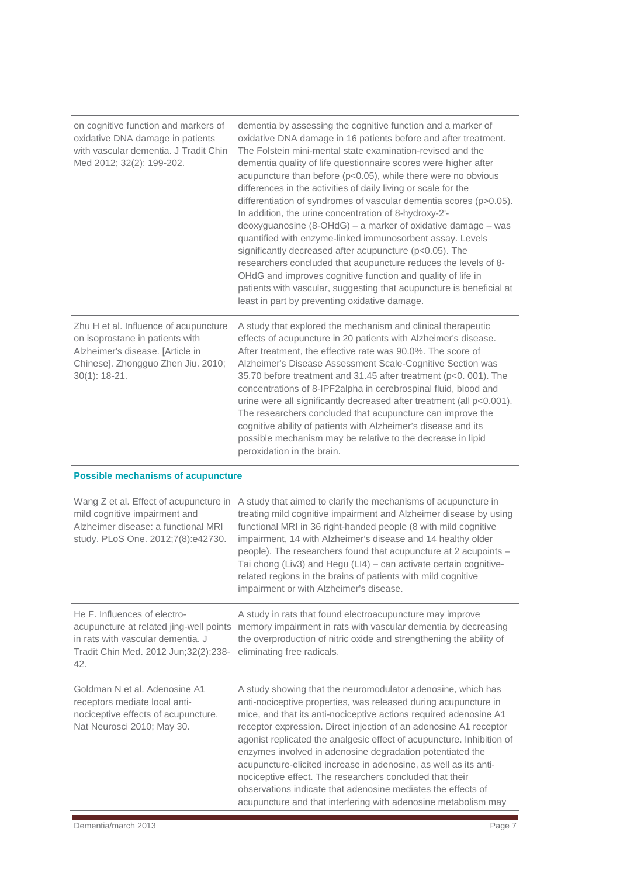| on cognitive function and markers of<br>oxidative DNA damage in patients<br>with vascular dementia. J Tradit Chin<br>Med 2012; 32(2): 199-202.                         | dementia by assessing the cognitive function and a marker of<br>oxidative DNA damage in 16 patients before and after treatment.<br>The Folstein mini-mental state examination-revised and the<br>dementia quality of life questionnaire scores were higher after<br>acupuncture than before (p<0.05), while there were no obvious<br>differences in the activities of daily living or scale for the<br>differentiation of syndromes of vascular dementia scores (p>0.05).<br>In addition, the urine concentration of 8-hydroxy-2'-<br>deoxyguanosine (8-OHdG) - a marker of oxidative damage - was<br>quantified with enzyme-linked immunosorbent assay. Levels<br>significantly decreased after acupuncture (p<0.05). The<br>researchers concluded that acupuncture reduces the levels of 8-<br>OHdG and improves cognitive function and quality of life in<br>patients with vascular, suggesting that acupuncture is beneficial at<br>least in part by preventing oxidative damage. |
|------------------------------------------------------------------------------------------------------------------------------------------------------------------------|---------------------------------------------------------------------------------------------------------------------------------------------------------------------------------------------------------------------------------------------------------------------------------------------------------------------------------------------------------------------------------------------------------------------------------------------------------------------------------------------------------------------------------------------------------------------------------------------------------------------------------------------------------------------------------------------------------------------------------------------------------------------------------------------------------------------------------------------------------------------------------------------------------------------------------------------------------------------------------------|
| Zhu H et al. Influence of acupuncture<br>on isoprostane in patients with<br>Alzheimer's disease. [Article in<br>Chinese]. Zhongguo Zhen Jiu. 2010;<br>$30(1)$ : 18-21. | A study that explored the mechanism and clinical therapeutic<br>effects of acupuncture in 20 patients with Alzheimer's disease.<br>After treatment, the effective rate was 90.0%. The score of<br>Alzheimer's Disease Assessment Scale-Cognitive Section was<br>35.70 before treatment and 31.45 after treatment (p<0. 001). The<br>concentrations of 8-IPF2alpha in cerebrospinal fluid, blood and<br>urine were all significantly decreased after treatment (all p<0.001).<br>The researchers concluded that acupuncture can improve the<br>cognitive ability of patients with Alzheimer's disease and its<br>possible mechanism may be relative to the decrease in lipid<br>peroxidation in the brain.                                                                                                                                                                                                                                                                             |
| <b>Possible mechanisms of acupuncture</b>                                                                                                                              |                                                                                                                                                                                                                                                                                                                                                                                                                                                                                                                                                                                                                                                                                                                                                                                                                                                                                                                                                                                       |
| Wang Z et al. Effect of acupuncture in<br>mild cognitive impairment and<br>Alzheimer disease: a functional MRI<br>study. PLoS One. 2012;7(8):e42730.                   | A study that aimed to clarify the mechanisms of acupuncture in<br>treating mild cognitive impairment and Alzheimer disease by using<br>functional MRI in 36 right-handed people (8 with mild cognitive<br>impairment, 14 with Alzheimer's disease and 14 healthy older<br>people). The researchers found that acupuncture at 2 acupoints -<br>Tai chong (Liv3) and Hegu (LI4) - can activate certain cognitive-<br>related regions in the brains of patients with mild cognitive<br>impairment or with Alzheimer's disease.                                                                                                                                                                                                                                                                                                                                                                                                                                                           |
| He F. Influences of electro-                                                                                                                                           |                                                                                                                                                                                                                                                                                                                                                                                                                                                                                                                                                                                                                                                                                                                                                                                                                                                                                                                                                                                       |
| acupuncture at related jing-well points<br>in rats with vascular dementia. J<br>Tradit Chin Med. 2012 Jun;32(2):238-<br>42.                                            | A study in rats that found electroacupuncture may improve<br>memory impairment in rats with vascular dementia by decreasing<br>the overproduction of nitric oxide and strengthening the ability of<br>eliminating free radicals.                                                                                                                                                                                                                                                                                                                                                                                                                                                                                                                                                                                                                                                                                                                                                      |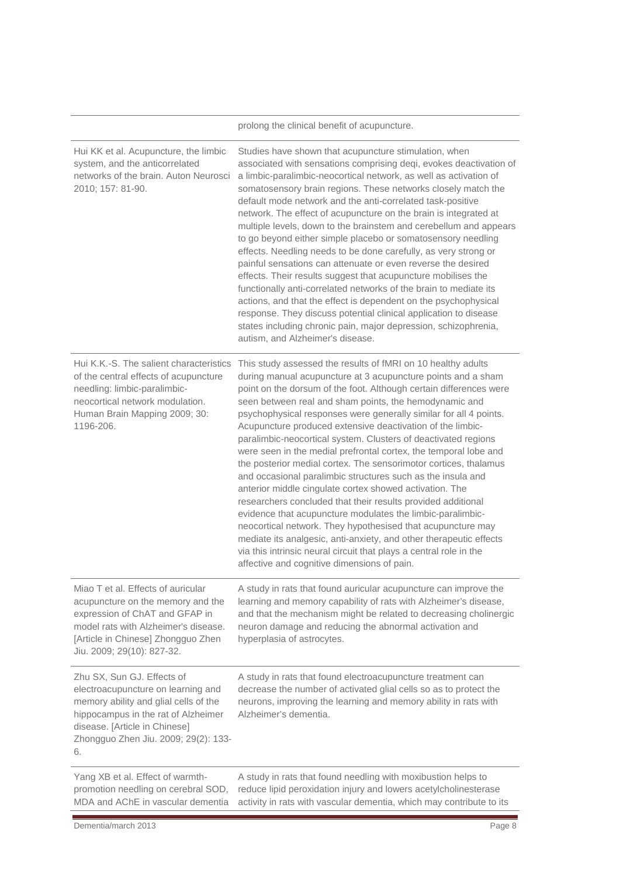|                                                                                                                                                                                                                                 | prolong the clinical benefit of acupuncture.                                                                                                                                                                                                                                                                                                                                                                                                                                                                                                                                                                                                                                                                                                                                                                                                                                                                                                                                                                                                                                                                                |
|---------------------------------------------------------------------------------------------------------------------------------------------------------------------------------------------------------------------------------|-----------------------------------------------------------------------------------------------------------------------------------------------------------------------------------------------------------------------------------------------------------------------------------------------------------------------------------------------------------------------------------------------------------------------------------------------------------------------------------------------------------------------------------------------------------------------------------------------------------------------------------------------------------------------------------------------------------------------------------------------------------------------------------------------------------------------------------------------------------------------------------------------------------------------------------------------------------------------------------------------------------------------------------------------------------------------------------------------------------------------------|
| Hui KK et al. Acupuncture, the limbic<br>system, and the anticorrelated<br>networks of the brain. Auton Neurosci<br>2010; 157: 81-90.                                                                                           | Studies have shown that acupuncture stimulation, when<br>associated with sensations comprising deqi, evokes deactivation of<br>a limbic-paralimbic-neocortical network, as well as activation of<br>somatosensory brain regions. These networks closely match the<br>default mode network and the anti-correlated task-positive<br>network. The effect of acupuncture on the brain is integrated at<br>multiple levels, down to the brainstem and cerebellum and appears<br>to go beyond either simple placebo or somatosensory needling<br>effects. Needling needs to be done carefully, as very strong or<br>painful sensations can attenuate or even reverse the desired<br>effects. Their results suggest that acupuncture mobilises the<br>functionally anti-correlated networks of the brain to mediate its<br>actions, and that the effect is dependent on the psychophysical<br>response. They discuss potential clinical application to disease<br>states including chronic pain, major depression, schizophrenia,<br>autism, and Alzheimer's disease.                                                             |
| Hui K.K.-S. The salient characteristics<br>of the central effects of acupuncture<br>needling: limbic-paralimbic-<br>neocortical network modulation.<br>Human Brain Mapping 2009; 30:<br>1196-206.                               | This study assessed the results of fMRI on 10 healthy adults<br>during manual acupuncture at 3 acupuncture points and a sham<br>point on the dorsum of the foot. Although certain differences were<br>seen between real and sham points, the hemodynamic and<br>psychophysical responses were generally similar for all 4 points.<br>Acupuncture produced extensive deactivation of the limbic-<br>paralimbic-neocortical system. Clusters of deactivated regions<br>were seen in the medial prefrontal cortex, the temporal lobe and<br>the posterior medial cortex. The sensorimotor cortices, thalamus<br>and occasional paralimbic structures such as the insula and<br>anterior middle cingulate cortex showed activation. The<br>researchers concluded that their results provided additional<br>evidence that acupuncture modulates the limbic-paralimbic-<br>neocortical network. They hypothesised that acupuncture may<br>mediate its analgesic, anti-anxiety, and other therapeutic effects<br>via this intrinsic neural circuit that plays a central role in the<br>affective and cognitive dimensions of pain. |
| Miao T et al. Effects of auricular<br>acupuncture on the memory and the<br>expression of ChAT and GFAP in<br>model rats with Alzheimer's disease.<br>[Article in Chinese] Zhongguo Zhen<br>Jiu. 2009; 29(10): 827-32.           | A study in rats that found auricular acupuncture can improve the<br>learning and memory capability of rats with Alzheimer's disease,<br>and that the mechanism might be related to decreasing cholinergic<br>neuron damage and reducing the abnormal activation and<br>hyperplasia of astrocytes.                                                                                                                                                                                                                                                                                                                                                                                                                                                                                                                                                                                                                                                                                                                                                                                                                           |
| Zhu SX, Sun GJ. Effects of<br>electroacupuncture on learning and<br>memory ability and glial cells of the<br>hippocampus in the rat of Alzheimer<br>disease. [Article in Chinese]<br>Zhongguo Zhen Jiu. 2009; 29(2): 133-<br>6. | A study in rats that found electroacupuncture treatment can<br>decrease the number of activated glial cells so as to protect the<br>neurons, improving the learning and memory ability in rats with<br>Alzheimer's dementia.                                                                                                                                                                                                                                                                                                                                                                                                                                                                                                                                                                                                                                                                                                                                                                                                                                                                                                |
| Yang XB et al Effect of warmth-                                                                                                                                                                                                 | A study in rats that found needling with moxibustion helps to                                                                                                                                                                                                                                                                                                                                                                                                                                                                                                                                                                                                                                                                                                                                                                                                                                                                                                                                                                                                                                                               |

Yang XB et al. Effect of warmthpromotion needling on cerebral SOD,

MDA and AChE in vascular dementia activity in rats with vascular dementia, which may contribute to its A study in rats that found needling with moxibustion helps to reduce lipid peroxidation injury and lowers acetylcholinesterase

i.